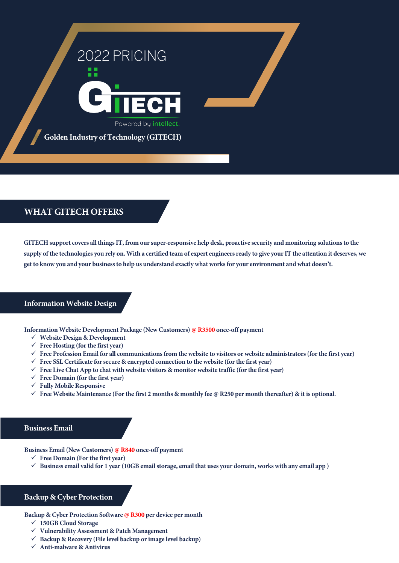

**Golden Industry of Technology (GITECH)**

# **WHAT GITECH OFFERS**

**GITECH support covers all things IT, from our super-responsive help desk, proactive security and monitoring solutions to the supply of the technologies you rely on. With a certified team of expert engineers ready to give your IT the attention it deserves, we get to know you and your business to help us understand exactly what works for your environment and what doesn't.**

## **Information Website Design**

**Information Website Development Package (New Customers) @ R3500 once-off payment**

- **Website Design & Development**
- **Free Hosting (for the first year)**
- **Free Profession Email for all communications from the website to visitors or website administrators (for the first year)**
- **Free SSL Certificate for secure & encrypted connection to the website (for the first year)**
- $\checkmark$  Free Live Chat App to chat with website visitors & monitor website traffic (for the first year)
- **Free Domain (for the first year)**
- **Fully Mobile Responsive**
- Free Website Maintenance (For the first 2 months & monthly fee  $\varphi$  R250 per month thereafter) & it is optional.

## **Business Email**

**Business Email (New Customers) @ R840 once-off payment**

- **Free Domain (For the first year)**
- $\checkmark$  Business email valid for 1 year (10GB email storage, email that uses your domain, works with any email app)

## **Backup & Cyber Protection**

**Backup & Cyber Protection Software @ R300 per device per month**

- **150GB Cloud Storage**
- **Vulnerability Assessment & Patch Management**
- **Backup & Recovery (File level backup or image level backup)**
- **Anti-malware & Antivirus**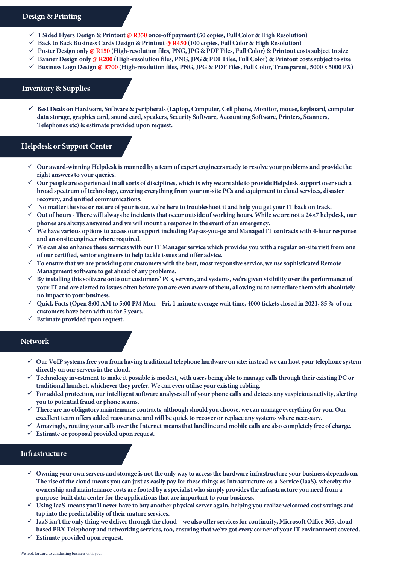#### **Design & Printing**

- **1 Sided Flyers Design & Printout @ R350 once-off payment (50 copies, Full Color & High Resolution)**
- **Back to Back Business Cards Design & Printout @ R450 (100 copies, Full Color & High Resolution)**
- **Poster Design only @ R150 (High-resolution files, PNG, JPG & PDF Files, Full Color) & Printout costssubject to size**
- **Banner Design only @ R200 (High-resolution files, PNG, JPG & PDF Files, Full Color) & Printout costs subject to size**
- **Business Logo Design @ R700 (High-resolution files, PNG, JPG & PDF Files, Full Color, Transparent, 5000 x 5000 PX)**

# **Inventory & Supplies**

 **Best Deals on Hardware, Software & peripherals (Laptop, Computer, Cell phone, Monitor, mouse, keyboard, computer data storage, graphics card, sound card, speakers, Security Software, Accounting Software, Printers, Scanners, Telephones etc) & estimate provided upon request.** 

# **Helpdesk or Support Center**

- **Our award-winning Helpdesk is manned by a team of expert engineers ready to resolve your problems and provide the right answers to your queries.**
- **Our people are experienced in allsorts of disciplines, which is why we are able to provide Helpdesk support over such a broad spectrum of technology, covering everything from your on-site PCs and equipment to cloud services, disaster recovery, and unified communications.**
- **No matter the size or nature of your issue, we're here to troubleshoot it and help you get your IT back on track.**
- **Out of hours There will always be incidents that occur outside of working hours. While we are not a 24×7 helpdesk, our phones are always answered and we will mount a response in the event of an emergency.**
- **We have various options to access our support including Pay-as-you-go and Managed IT contracts with 4-hour response and an onsite engineer where required.**
- **We can also enhance these services with our IT Manager service which provides you with a regular on-site visit from one of our certified, senior engineers to help tackle issues and offer advice.**
- **To ensure that we are providing our customers with the best, most responsive service, we use sophisticated Remote Management software to get ahead of any problems.**
- **By installing this software onto our customers' PCs, servers, and systems, we're given visibility over the performance of your IT and are alerted to issues often before you are even aware of them, allowing us to remediate them with absolutely no impact to your business.**
- **Quick Facts (Open 8:00 AM to 5:00 PM Mon Fri, 1 minute average wait time, 4000 tickets closed in 2021, 85 % of our customers have been with us for 5 years.**
- **Estimate provided upon request.**

# **Network**

- **Our VoIP systems free you from having traditional telephone hardware on site; instead we can host your telephone system directly on our servers in the cloud.**
- **Technology investment to make it possible is modest, with users being able to manage calls through their existing PC or traditional handset, whichever they prefer. We can even utilise your existing cabling.**
- **For added protection, our intelligent software analyses all of your phone calls and detects any suspicious activity, alerting you to potential fraud or phone scams.**
- **There are no obligatory maintenance contracts, although should you choose, we can manage everything for you. Our excellent team offers added reassurance and will be quick to recover or replace any systems where necessary.**
- **Amazingly, routing your calls over the Internet means that landline and mobile calls are also completely free of charge.**
- **Estimate or proposal provided upon request.**

## **Infrastructure**

- **Owning your own servers and storage is not the only way to accessthe hardware infrastructure your business depends on. The rise of the cloud means you can just as easily pay for these things as Infrastructure-as-a-Service (IaaS), whereby the ownership and maintenance costs are footed by a specialist who simply provides the infrastructure you need from a purpose-built data center for the applications that are important to your business.**
- **Using IaaS means you'll never have to buy another physical server again, helping you realize welcomed cost savings and tap into the predictability of their mature services.**
- **IaaS isn't the only thing we deliver through the cloud we also offer services for continuity, Microsoft Office 365, cloudbased PBX Telephony and networking services, too, ensuring that we've got every corner of your IT environment covered.**
- **Estimate provided upon request.**